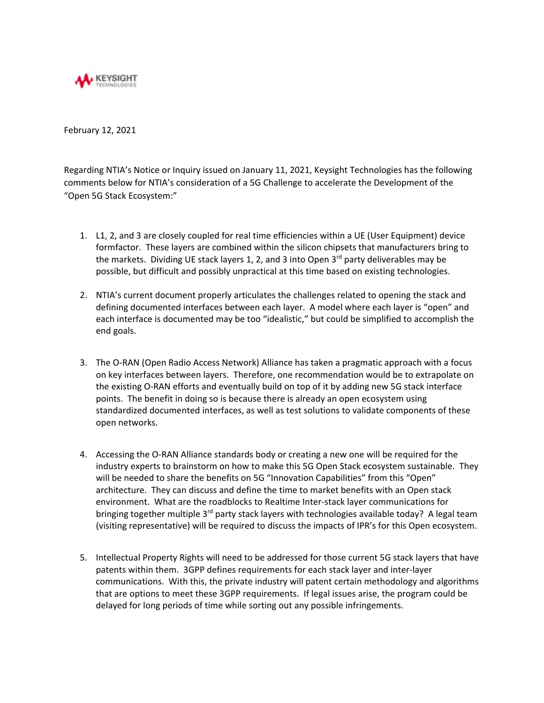

February 12, 2021

Regarding NTIA's Notice or Inquiry issued on January 11, 2021, Keysight Technologies has the following comments below for NTIA's consideration of a 5G Challenge to accelerate the Development of the "Open 5G Stack Ecosystem:"

- 1. L1, 2, and 3 are closely coupled for real time efficiencies within a UE (User Equipment) device formfactor. These layers are combined within the silicon chipsets that manufacturers bring to the markets. Dividing UE stack layers 1, 2, and 3 into Open  $3<sup>rd</sup>$  party deliverables may be possible, but difficult and possibly unpractical at this time based on existing technologies.
- 2. NTIA's current document properly articulates the challenges related to opening the stack and defining documented interfaces between each layer. A model where each layer is "open" and each interface is documented may be too "idealistic," but could be simplified to accomplish the end goals.
- 3. The O-RAN (Open Radio Access Network) Alliance has taken a pragmatic approach with a focus on key interfaces between layers. Therefore, one recommendation would be to extrapolate on the existing O-RAN efforts and eventually build on top of it by adding new 5G stack interface points. The benefit in doing so is because there is already an open ecosystem using standardized documented interfaces, as well as test solutions to validate components of these open networks.
- 4. Accessing the O-RAN Alliance standards body or creating a new one will be required for the industry experts to brainstorm on how to make this 5G Open Stack ecosystem sustainable. They will be needed to share the benefits on 5G "Innovation Capabilities" from this "Open" architecture. They can discuss and define the time to market benefits with an Open stack environment. What are the roadblocks to Realtime Inter-stack layer communications for bringing together multiple  $3<sup>rd</sup>$  party stack layers with technologies available today? A legal team (visiting representative) will be required to discuss the impacts of IPR's for this Open ecosystem.
- 5. Intellectual Property Rights will need to be addressed for those current 5G stack layers that have patents within them. 3GPP defines requirements for each stack layer and inter-layer communications. With this, the private industry will patent certain methodology and algorithms that are options to meet these 3GPP requirements. If legal issues arise, the program could be delayed for long periods of time while sorting out any possible infringements.